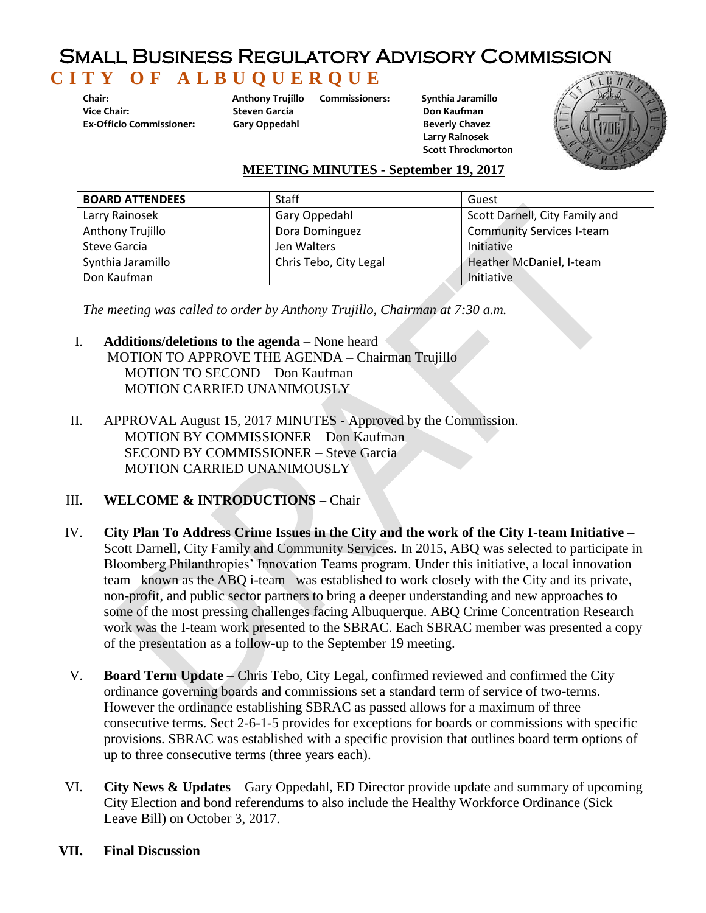## Small Business Regulatory Advisory Commission  **C I T Y O F A L B U Q U E R Q U E**

**Chair: Anthony Trujillo Ex-Officio Commissioner: Gary Oppedahl**

**Steven Garcia** 

**Commissioners: Synthia Jaramillo**

 **Don Kaufman Beverly Chavez Larry Rainosek Scott Throckmorton** 



## **MEETING MINUTES - September 19, 2017**

| <b>BOARD ATTENDEES</b> | <b>Staff</b>           | Guest                            |
|------------------------|------------------------|----------------------------------|
| Larry Rainosek         | Gary Oppedahl          | Scott Darnell, City Family and   |
| Anthony Trujillo       | Dora Dominguez         | <b>Community Services I-team</b> |
| Steve Garcia           | Jen Walters            | Initiative                       |
| Synthia Jaramillo      | Chris Tebo, City Legal | Heather McDaniel, I-team         |
| Don Kaufman            |                        | Initiative                       |

*The meeting was called to order by Anthony Trujillo, Chairman at 7:30 a.m.* 

- I. **Additions/deletions to the agenda** None heard MOTION TO APPROVE THE AGENDA – Chairman Trujillo MOTION TO SECOND – Don Kaufman MOTION CARRIED UNANIMOUSLY
- II. APPROVAL August 15, 2017 MINUTES Approved by the Commission. MOTION BY COMMISSIONER – Don Kaufman SECOND BY COMMISSIONER – Steve Garcia MOTION CARRIED UNANIMOUSLY
- III. **WELCOME & INTRODUCTIONS –** Chair
- IV. **City Plan To Address Crime Issues in the City and the work of the City I-team Initiative –** Scott Darnell, City Family and Community Services. In 2015, ABQ was selected to participate in Bloomberg Philanthropies' Innovation Teams program. Under this initiative, a local innovation team –known as the ABQ i-team –was established to work closely with the City and its private, non-profit, and public sector partners to bring a deeper understanding and new approaches to some of the most pressing challenges facing Albuquerque. ABQ Crime Concentration Research work was the I-team work presented to the SBRAC. Each SBRAC member was presented a copy of the presentation as a follow-up to the September 19 meeting.
- V. **Board Term Update** Chris Tebo, City Legal, confirmed reviewed and confirmed the City ordinance governing boards and commissions set a standard term of service of two-terms. However the ordinance establishing SBRAC as passed allows for a maximum of three consecutive terms. Sect 2-6-1-5 provides for exceptions for boards or commissions with specific provisions. SBRAC was established with a specific provision that outlines board term options of up to three consecutive terms (three years each).
- VI. **City News & Updates** Gary Oppedahl, ED Director provide update and summary of upcoming City Election and bond referendums to also include the Healthy Workforce Ordinance (Sick Leave Bill) on October 3, 2017.
- **VII. Final Discussion**